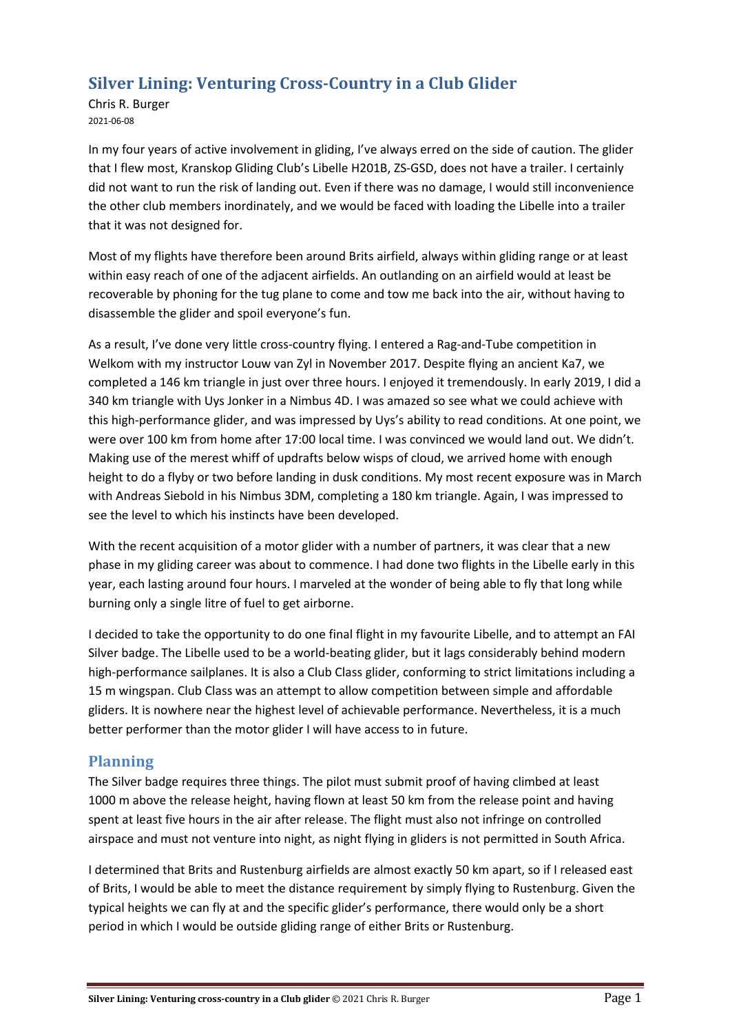# Silver Lining: Venturing Cross-Country in a Club Glider

Chris R. Burger 2021-06-08

In my four years of active involvement in gliding, I've always erred on the side of caution. The glider that I flew most, Kranskop Gliding Club's Libelle H201B, ZS-GSD, does not have a trailer. I certainly did not want to run the risk of landing out. Even if there was no damage, I would still inconvenience the other club members inordinately, and we would be faced with loading the Libelle into a trailer that it was not designed for.

Most of my flights have therefore been around Brits airfield, always within gliding range or at least within easy reach of one of the adjacent airfields. An outlanding on an airfield would at least be recoverable by phoning for the tug plane to come and tow me back into the air, without having to disassemble the glider and spoil everyone's fun.

As a result, I've done very little cross-country flying. I entered a Rag-and-Tube competition in Welkom with my instructor Louw van Zyl in November 2017. Despite flying an ancient Ka7, we completed a 146 km triangle in just over three hours. I enjoyed it tremendously. In early 2019, I did a 340 km triangle with Uys Jonker in a Nimbus 4D. I was amazed so see what we could achieve with this high-performance glider, and was impressed by Uys's ability to read conditions. At one point, we were over 100 km from home after 17:00 local time. I was convinced we would land out. We didn't. Making use of the merest whiff of updrafts below wisps of cloud, we arrived home with enough height to do a flyby or two before landing in dusk conditions. My most recent exposure was in March with Andreas Siebold in his Nimbus 3DM, completing a 180 km triangle. Again, I was impressed to see the level to which his instincts have been developed.

With the recent acquisition of a motor glider with a number of partners, it was clear that a new phase in my gliding career was about to commence. I had done two flights in the Libelle early in this year, each lasting around four hours. I marveled at the wonder of being able to fly that long while burning only a single litre of fuel to get airborne.

I decided to take the opportunity to do one final flight in my favourite Libelle, and to attempt an FAI Silver badge. The Libelle used to be a world-beating glider, but it lags considerably behind modern high-performance sailplanes. It is also a Club Class glider, conforming to strict limitations including a 15 m wingspan. Club Class was an attempt to allow competition between simple and affordable gliders. It is nowhere near the highest level of achievable performance. Nevertheless, it is a much better performer than the motor glider I will have access to in future.

## Planning

The Silver badge requires three things. The pilot must submit proof of having climbed at least 1000 m above the release height, having flown at least 50 km from the release point and having spent at least five hours in the air after release. The flight must also not infringe on controlled airspace and must not venture into night, as night flying in gliders is not permitted in South Africa.

I determined that Brits and Rustenburg airfields are almost exactly 50 km apart, so if I released east of Brits, I would be able to meet the distance requirement by simply flying to Rustenburg. Given the typical heights we can fly at and the specific glider's performance, there would only be a short period in which I would be outside gliding range of either Brits or Rustenburg.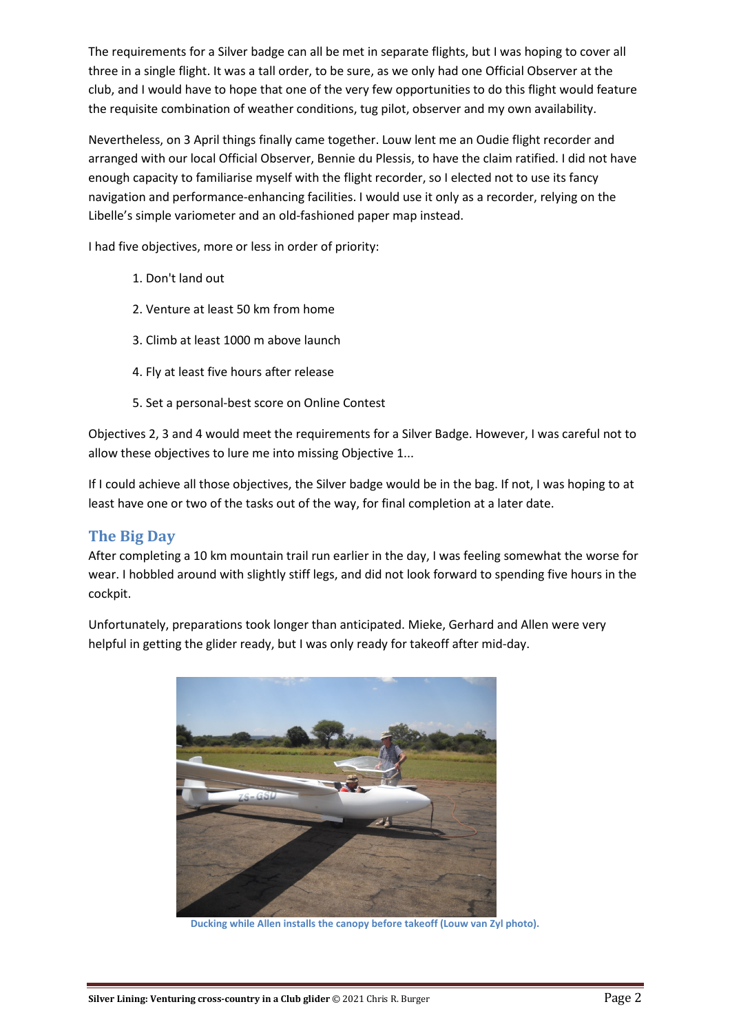The requirements for a Silver badge can all be met in separate flights, but I was hoping to cover all three in a single flight. It was a tall order, to be sure, as we only had one Official Observer at the club, and I would have to hope that one of the very few opportunities to do this flight would feature the requisite combination of weather conditions, tug pilot, observer and my own availability.

Nevertheless, on 3 April things finally came together. Louw lent me an Oudie flight recorder and arranged with our local Official Observer, Bennie du Plessis, to have the claim ratified. I did not have enough capacity to familiarise myself with the flight recorder, so I elected not to use its fancy navigation and performance-enhancing facilities. I would use it only as a recorder, relying on the Libelle's simple variometer and an old-fashioned paper map instead.

I had five objectives, more or less in order of priority:

- 1. Don't land out
- 2. Venture at least 50 km from home
- 3. Climb at least 1000 m above launch
- 4. Fly at least five hours after release
- 5. Set a personal-best score on Online Contest

Objectives 2, 3 and 4 would meet the requirements for a Silver Badge. However, I was careful not to allow these objectives to lure me into missing Objective 1...

If I could achieve all those objectives, the Silver badge would be in the bag. If not, I was hoping to at least have one or two of the tasks out of the way, for final completion at a later date.

## The Big Day

After completing a 10 km mountain trail run earlier in the day, I was feeling somewhat the worse for wear. I hobbled around with slightly stiff legs, and did not look forward to spending five hours in the cockpit.

Unfortunately, preparations took longer than anticipated. Mieke, Gerhard and Allen were very helpful in getting the glider ready, but I was only ready for takeoff after mid-day.



Ducking while Allen installs the canopy before takeoff (Louw van Zyl photo).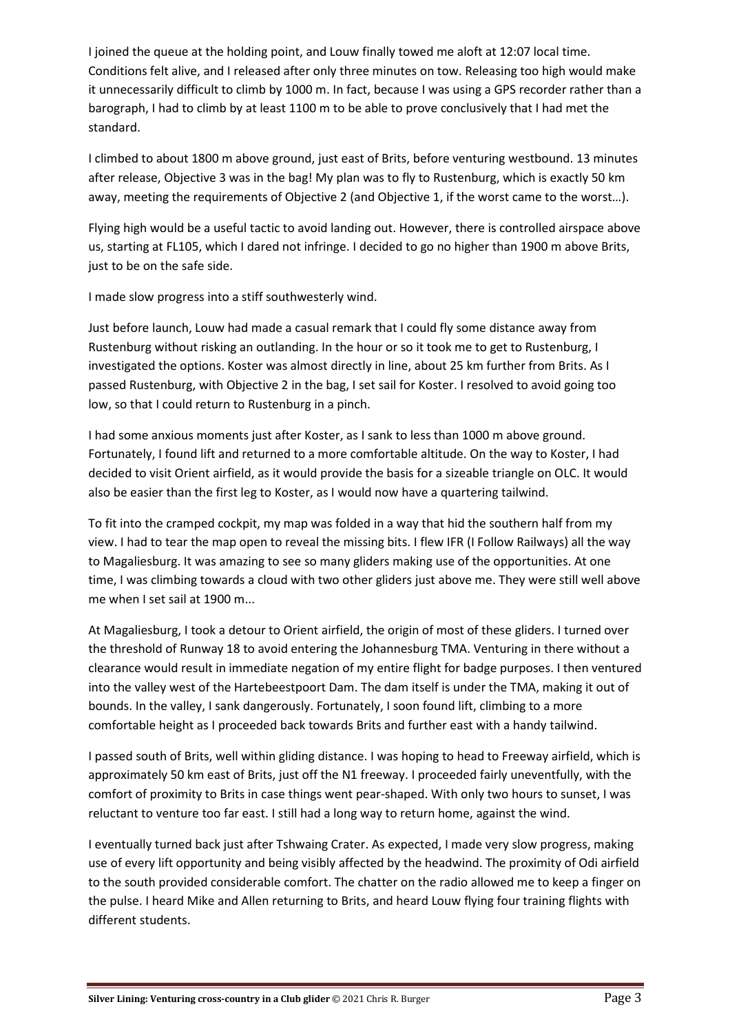I joined the queue at the holding point, and Louw finally towed me aloft at 12:07 local time. Conditions felt alive, and I released after only three minutes on tow. Releasing too high would make it unnecessarily difficult to climb by 1000 m. In fact, because I was using a GPS recorder rather than a barograph, I had to climb by at least 1100 m to be able to prove conclusively that I had met the standard.

I climbed to about 1800 m above ground, just east of Brits, before venturing westbound. 13 minutes after release, Objective 3 was in the bag! My plan was to fly to Rustenburg, which is exactly 50 km away, meeting the requirements of Objective 2 (and Objective 1, if the worst came to the worst…).

Flying high would be a useful tactic to avoid landing out. However, there is controlled airspace above us, starting at FL105, which I dared not infringe. I decided to go no higher than 1900 m above Brits, just to be on the safe side.

I made slow progress into a stiff southwesterly wind.

Just before launch, Louw had made a casual remark that I could fly some distance away from Rustenburg without risking an outlanding. In the hour or so it took me to get to Rustenburg, I investigated the options. Koster was almost directly in line, about 25 km further from Brits. As I passed Rustenburg, with Objective 2 in the bag, I set sail for Koster. I resolved to avoid going too low, so that I could return to Rustenburg in a pinch.

I had some anxious moments just after Koster, as I sank to less than 1000 m above ground. Fortunately, I found lift and returned to a more comfortable altitude. On the way to Koster, I had decided to visit Orient airfield, as it would provide the basis for a sizeable triangle on OLC. It would also be easier than the first leg to Koster, as I would now have a quartering tailwind.

To fit into the cramped cockpit, my map was folded in a way that hid the southern half from my view. I had to tear the map open to reveal the missing bits. I flew IFR (I Follow Railways) all the way to Magaliesburg. It was amazing to see so many gliders making use of the opportunities. At one time, I was climbing towards a cloud with two other gliders just above me. They were still well above me when I set sail at 1900 m...

At Magaliesburg, I took a detour to Orient airfield, the origin of most of these gliders. I turned over the threshold of Runway 18 to avoid entering the Johannesburg TMA. Venturing in there without a clearance would result in immediate negation of my entire flight for badge purposes. I then ventured into the valley west of the Hartebeestpoort Dam. The dam itself is under the TMA, making it out of bounds. In the valley, I sank dangerously. Fortunately, I soon found lift, climbing to a more comfortable height as I proceeded back towards Brits and further east with a handy tailwind.

I passed south of Brits, well within gliding distance. I was hoping to head to Freeway airfield, which is approximately 50 km east of Brits, just off the N1 freeway. I proceeded fairly uneventfully, with the comfort of proximity to Brits in case things went pear-shaped. With only two hours to sunset, I was reluctant to venture too far east. I still had a long way to return home, against the wind.

I eventually turned back just after Tshwaing Crater. As expected, I made very slow progress, making use of every lift opportunity and being visibly affected by the headwind. The proximity of Odi airfield to the south provided considerable comfort. The chatter on the radio allowed me to keep a finger on the pulse. I heard Mike and Allen returning to Brits, and heard Louw flying four training flights with different students.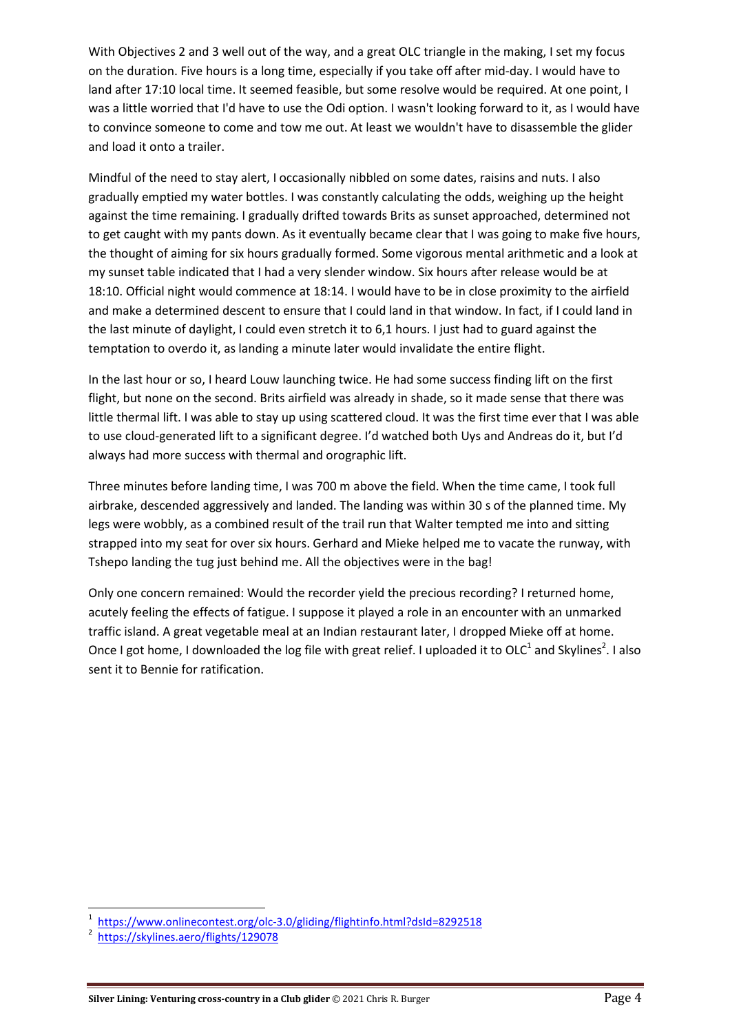With Objectives 2 and 3 well out of the way, and a great OLC triangle in the making, I set my focus on the duration. Five hours is a long time, especially if you take off after mid-day. I would have to land after 17:10 local time. It seemed feasible, but some resolve would be required. At one point, I was a little worried that I'd have to use the Odi option. I wasn't looking forward to it, as I would have to convince someone to come and tow me out. At least we wouldn't have to disassemble the glider and load it onto a trailer.

Mindful of the need to stay alert, I occasionally nibbled on some dates, raisins and nuts. I also gradually emptied my water bottles. I was constantly calculating the odds, weighing up the height against the time remaining. I gradually drifted towards Brits as sunset approached, determined not to get caught with my pants down. As it eventually became clear that I was going to make five hours, the thought of aiming for six hours gradually formed. Some vigorous mental arithmetic and a look at my sunset table indicated that I had a very slender window. Six hours after release would be at 18:10. Official night would commence at 18:14. I would have to be in close proximity to the airfield and make a determined descent to ensure that I could land in that window. In fact, if I could land in the last minute of daylight, I could even stretch it to 6,1 hours. I just had to guard against the temptation to overdo it, as landing a minute later would invalidate the entire flight.

In the last hour or so, I heard Louw launching twice. He had some success finding lift on the first flight, but none on the second. Brits airfield was already in shade, so it made sense that there was little thermal lift. I was able to stay up using scattered cloud. It was the first time ever that I was able to use cloud-generated lift to a significant degree. I'd watched both Uys and Andreas do it, but I'd always had more success with thermal and orographic lift.

Three minutes before landing time, I was 700 m above the field. When the time came, I took full airbrake, descended aggressively and landed. The landing was within 30 s of the planned time. My legs were wobbly, as a combined result of the trail run that Walter tempted me into and sitting strapped into my seat for over six hours. Gerhard and Mieke helped me to vacate the runway, with Tshepo landing the tug just behind me. All the objectives were in the bag!

Only one concern remained: Would the recorder yield the precious recording? I returned home, acutely feeling the effects of fatigue. I suppose it played a role in an encounter with an unmarked traffic island. A great vegetable meal at an Indian restaurant later, I dropped Mieke off at home. Once I got home, I downloaded the log file with great relief. I uploaded it to OLC<sup>1</sup> and Skylines<sup>2</sup>. I also sent it to Bennie for ratification.

 $\overline{\phantom{0}}$ 

<sup>1</sup> https://www.onlinecontest.org/olc-3.0/gliding/flightinfo.html?dsId=8292518

<sup>2</sup> https://skylines.aero/flights/129078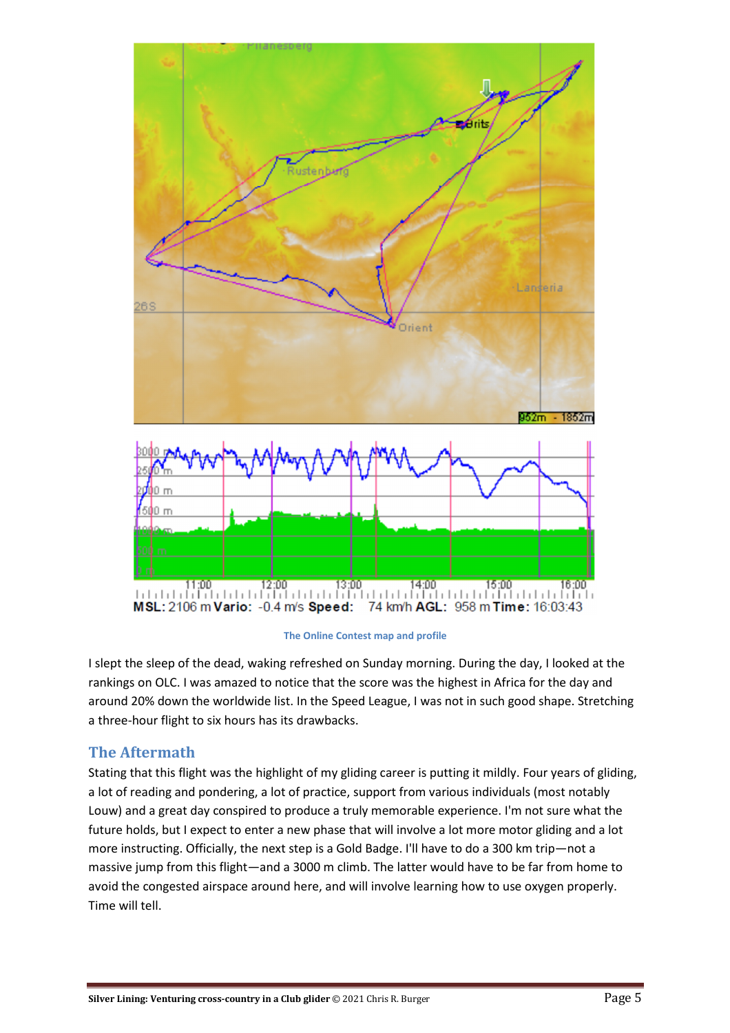



I slept the sleep of the dead, waking refreshed on Sunday morning. During the day, I looked at the rankings on OLC. I was amazed to notice that the score was the highest in Africa for the day and around 20% down the worldwide list. In the Speed League, I was not in such good shape. Stretching a three-hour flight to six hours has its drawbacks.

#### The Aftermath

Stating that this flight was the highlight of my gliding career is putting it mildly. Four years of gliding, a lot of reading and pondering, a lot of practice, support from various individuals (most notably Louw) and a great day conspired to produce a truly memorable experience. I'm not sure what the future holds, but I expect to enter a new phase that will involve a lot more motor gliding and a lot more instructing. Officially, the next step is a Gold Badge. I'll have to do a 300 km trip—not a massive jump from this flight—and a 3000 m climb. The latter would have to be far from home to avoid the congested airspace around here, and will involve learning how to use oxygen properly. Time will tell.